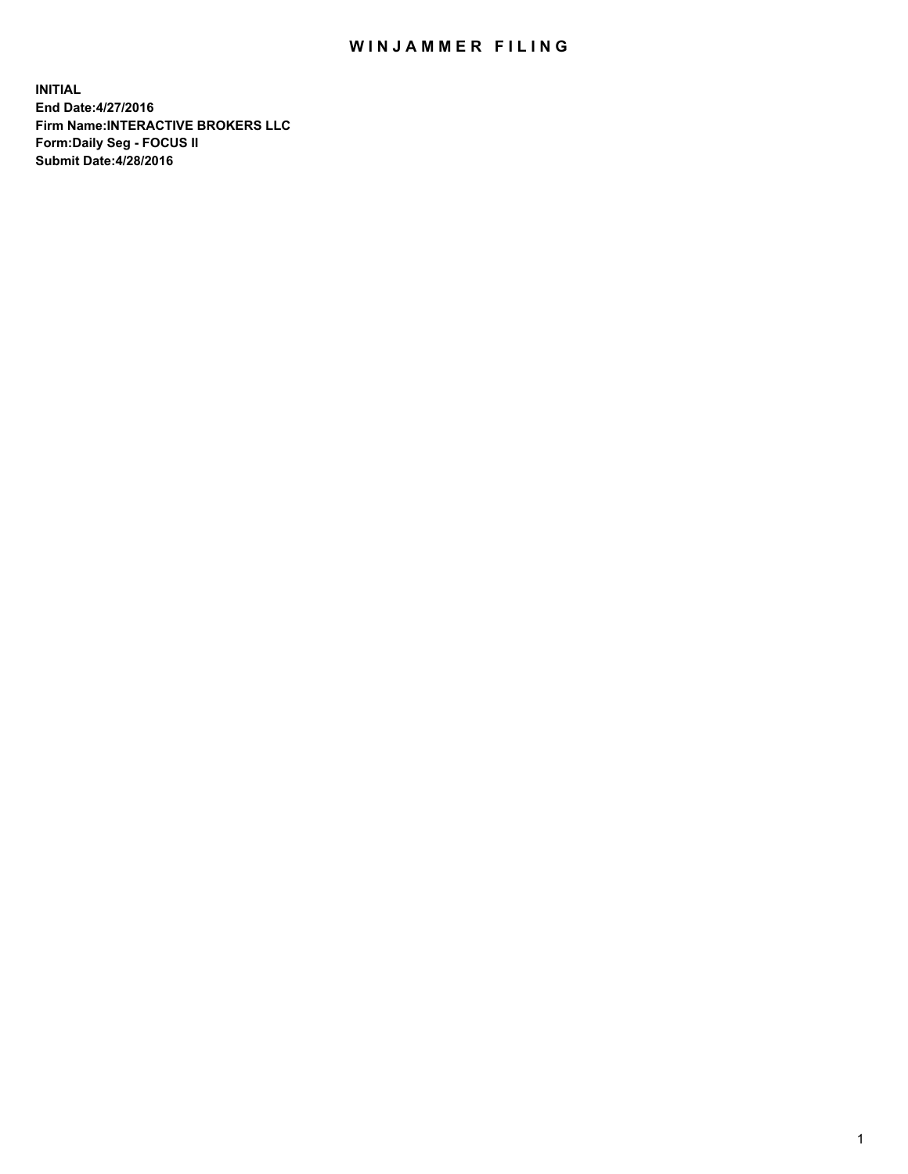## WIN JAMMER FILING

**INITIAL End Date:4/27/2016 Firm Name:INTERACTIVE BROKERS LLC Form:Daily Seg - FOCUS II Submit Date:4/28/2016**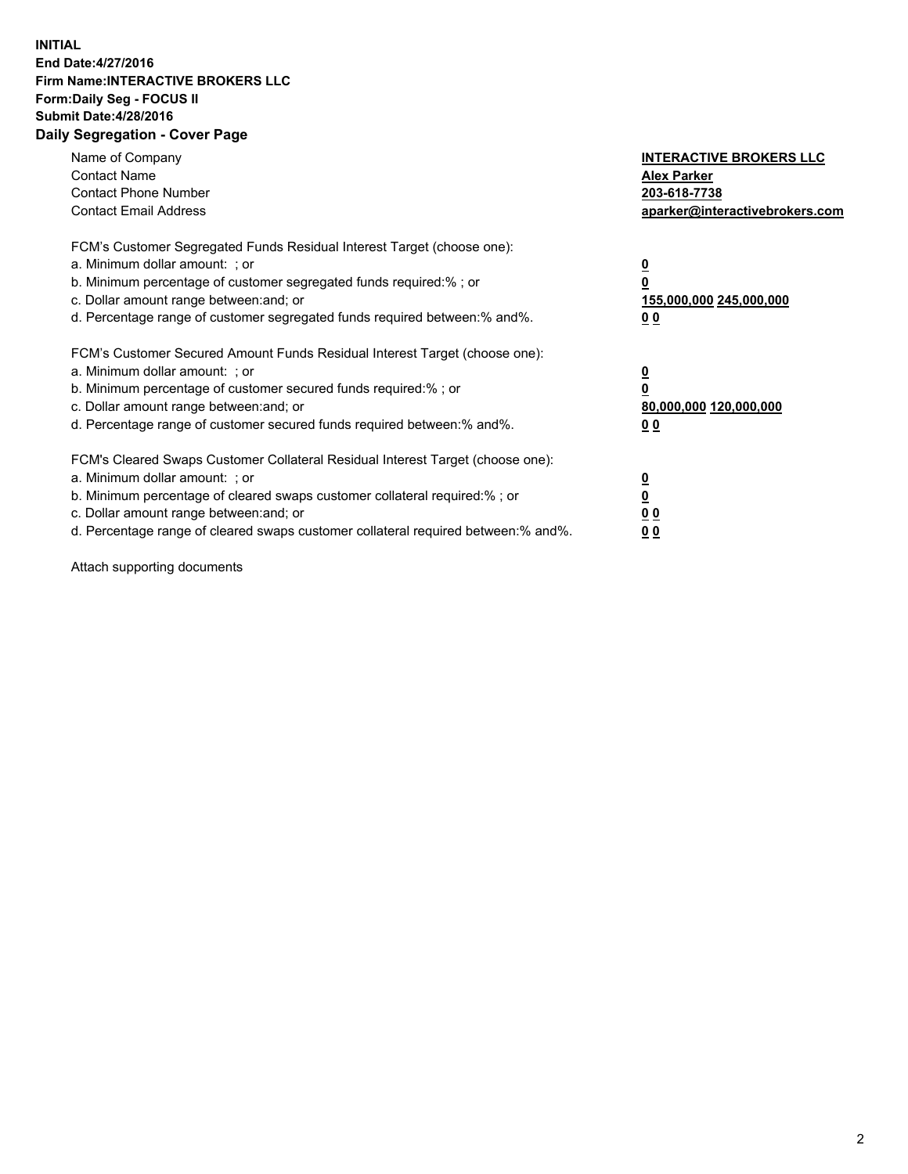## **INITIAL End Date:4/27/2016 Firm Name:INTERACTIVE BROKERS LLC Form:Daily Seg - FOCUS II Submit Date:4/28/2016 Daily Segregation - Cover Page**

| Name of Company<br><b>Contact Name</b><br><b>Contact Phone Number</b><br><b>Contact Email Address</b>                                                                                                                                                                                                                          | <b>INTERACTIVE BROKERS LLC</b><br><b>Alex Parker</b><br>203-618-7738<br>aparker@interactivebrokers.com |
|--------------------------------------------------------------------------------------------------------------------------------------------------------------------------------------------------------------------------------------------------------------------------------------------------------------------------------|--------------------------------------------------------------------------------------------------------|
| FCM's Customer Segregated Funds Residual Interest Target (choose one):<br>a. Minimum dollar amount: ; or<br>b. Minimum percentage of customer segregated funds required:%; or<br>c. Dollar amount range between: and; or<br>d. Percentage range of customer segregated funds required between:% and%.                          | <u>0</u><br>155,000,000 245,000,000<br><u>0 0</u>                                                      |
| FCM's Customer Secured Amount Funds Residual Interest Target (choose one):<br>a. Minimum dollar amount: ; or<br>b. Minimum percentage of customer secured funds required:% ; or<br>c. Dollar amount range between: and; or<br>d. Percentage range of customer secured funds required between:% and%.                           | <u>0</u><br>80,000,000 120,000,000<br><u>0 0</u>                                                       |
| FCM's Cleared Swaps Customer Collateral Residual Interest Target (choose one):<br>a. Minimum dollar amount: ; or<br>b. Minimum percentage of cleared swaps customer collateral required:% ; or<br>c. Dollar amount range between: and; or<br>d. Percentage range of cleared swaps customer collateral required between:% and%. | <u>0</u><br>0 <sub>0</sub><br>0 <sub>0</sub>                                                           |

Attach supporting documents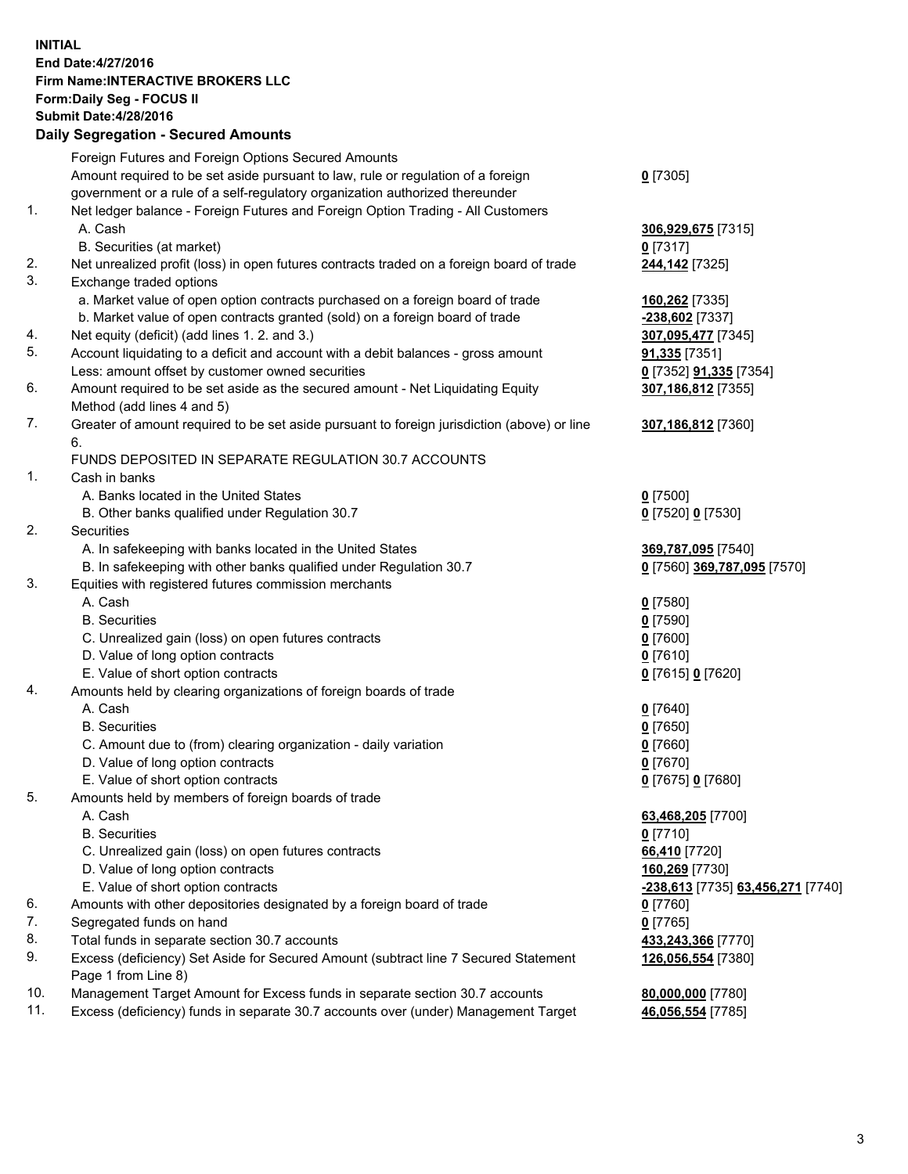## **INITIAL End Date:4/27/2016 Firm Name:INTERACTIVE BROKERS LLC Form:Daily Seg - FOCUS II Submit Date:4/28/2016 Daily Segregation - Secured Amounts**

|     | Foreign Futures and Foreign Options Secured Amounts                                         |                                   |
|-----|---------------------------------------------------------------------------------------------|-----------------------------------|
|     | Amount required to be set aside pursuant to law, rule or regulation of a foreign            | $0$ [7305]                        |
|     | government or a rule of a self-regulatory organization authorized thereunder                |                                   |
| 1.  | Net ledger balance - Foreign Futures and Foreign Option Trading - All Customers             |                                   |
|     | A. Cash                                                                                     | 306,929,675 [7315]                |
|     | B. Securities (at market)                                                                   | $0$ [7317]                        |
| 2.  | Net unrealized profit (loss) in open futures contracts traded on a foreign board of trade   | 244,142 [7325]                    |
| 3.  | Exchange traded options                                                                     |                                   |
|     | a. Market value of open option contracts purchased on a foreign board of trade              | 160,262 [7335]                    |
|     | b. Market value of open contracts granted (sold) on a foreign board of trade                | 238,602 [7337]                    |
| 4.  | Net equity (deficit) (add lines 1.2. and 3.)                                                | 307,095,477 [7345]                |
| 5.  | Account liquidating to a deficit and account with a debit balances - gross amount           | <b>91,335</b> [7351]              |
|     | Less: amount offset by customer owned securities                                            |                                   |
| 6.  |                                                                                             | 0 [7352] <b>91,335</b> [7354]     |
|     | Amount required to be set aside as the secured amount - Net Liquidating Equity              | 307,186,812 [7355]                |
|     | Method (add lines 4 and 5)                                                                  |                                   |
| 7.  | Greater of amount required to be set aside pursuant to foreign jurisdiction (above) or line | 307,186,812 [7360]                |
|     | 6.                                                                                          |                                   |
|     | FUNDS DEPOSITED IN SEPARATE REGULATION 30.7 ACCOUNTS                                        |                                   |
| 1.  | Cash in banks                                                                               |                                   |
|     | A. Banks located in the United States                                                       | $0$ [7500]                        |
|     | B. Other banks qualified under Regulation 30.7                                              | 0 [7520] 0 [7530]                 |
| 2.  | Securities                                                                                  |                                   |
|     | A. In safekeeping with banks located in the United States                                   | 369,787,095 [7540]                |
|     | B. In safekeeping with other banks qualified under Regulation 30.7                          | 0 [7560] 369,787,095 [7570]       |
| 3.  | Equities with registered futures commission merchants                                       |                                   |
|     | A. Cash                                                                                     | $0$ [7580]                        |
|     | <b>B.</b> Securities                                                                        | $0$ [7590]                        |
|     | C. Unrealized gain (loss) on open futures contracts                                         | $0$ [7600]                        |
|     | D. Value of long option contracts                                                           | $0$ [7610]                        |
|     | E. Value of short option contracts                                                          | 0 [7615] 0 [7620]                 |
| 4.  | Amounts held by clearing organizations of foreign boards of trade                           |                                   |
|     | A. Cash                                                                                     | $0$ [7640]                        |
|     | <b>B.</b> Securities                                                                        | $0$ [7650]                        |
|     | C. Amount due to (from) clearing organization - daily variation                             | $0$ [7660]                        |
|     | D. Value of long option contracts                                                           | $0$ [7670]                        |
|     | E. Value of short option contracts                                                          | 0 [7675] 0 [7680]                 |
| 5.  | Amounts held by members of foreign boards of trade                                          |                                   |
|     | A. Cash                                                                                     | 63,468,205 [7700]                 |
|     | <b>B.</b> Securities                                                                        | $0$ [7710]                        |
|     | C. Unrealized gain (loss) on open futures contracts                                         | 66,410 [7720]                     |
|     | D. Value of long option contracts                                                           | 160,269 [7730]                    |
|     | E. Value of short option contracts                                                          | -238,613 [7735] 63,456,271 [7740] |
| 6.  | Amounts with other depositories designated by a foreign board of trade                      | $0$ [7760]                        |
| 7.  | Segregated funds on hand                                                                    | $0$ [7765]                        |
| 8.  | Total funds in separate section 30.7 accounts                                               | 433,243,366 [7770]                |
| 9.  | Excess (deficiency) Set Aside for Secured Amount (subtract line 7 Secured Statement         | 126,056,554 [7380]                |
|     | Page 1 from Line 8)                                                                         |                                   |
| 10. | Management Target Amount for Excess funds in separate section 30.7 accounts                 | 80,000,000 [7780]                 |
| 11. | Excess (deficiency) funds in separate 30.7 accounts over (under) Management Target          | 46,056,554 [7785]                 |
|     |                                                                                             |                                   |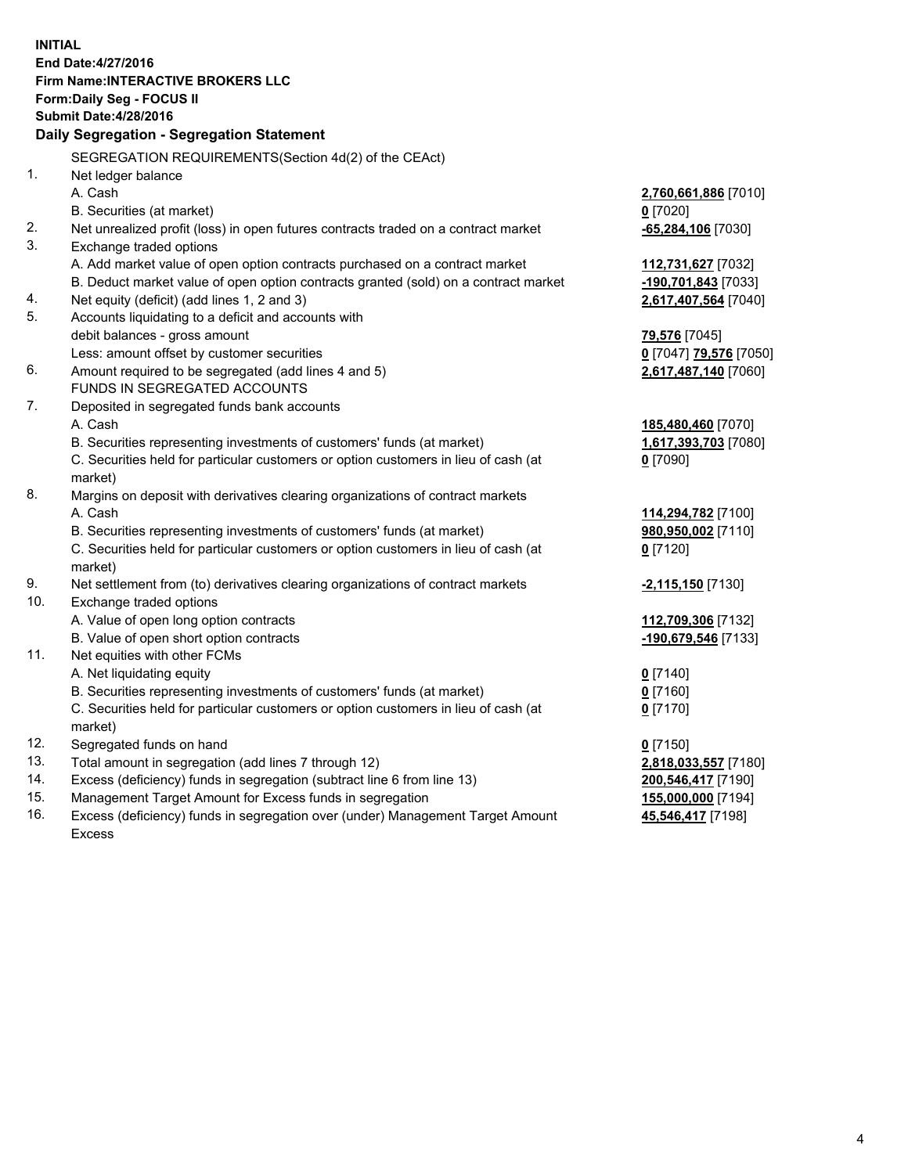**INITIAL End Date:4/27/2016 Firm Name:INTERACTIVE BROKERS LLC Form:Daily Seg - FOCUS II Submit Date:4/28/2016 Daily Segregation - Segregation Statement** SEGREGATION REQUIREMENTS(Section 4d(2) of the CEAct) 1. Net ledger balance A. Cash **2,760,661,886** [7010] B. Securities (at market) **0** [7020] 2. Net unrealized profit (loss) in open futures contracts traded on a contract market **-65,284,106** [7030] 3. Exchange traded options A. Add market value of open option contracts purchased on a contract market **112,731,627** [7032] B. Deduct market value of open option contracts granted (sold) on a contract market **-190,701,843** [7033] 4. Net equity (deficit) (add lines 1, 2 and 3) **2,617,407,564** [7040] 5. Accounts liquidating to a deficit and accounts with debit balances - gross amount **79,576** [7045] Less: amount offset by customer securities **0** [7047] **79,576** [7050] 6. Amount required to be segregated (add lines 4 and 5) **2,617,487,140** [7060] FUNDS IN SEGREGATED ACCOUNTS 7. Deposited in segregated funds bank accounts A. Cash **185,480,460** [7070] B. Securities representing investments of customers' funds (at market) **1,617,393,703** [7080] C. Securities held for particular customers or option customers in lieu of cash (at market) **0** [7090] 8. Margins on deposit with derivatives clearing organizations of contract markets A. Cash **114,294,782** [7100] B. Securities representing investments of customers' funds (at market) **980,950,002** [7110] C. Securities held for particular customers or option customers in lieu of cash (at market) **0** [7120] 9. Net settlement from (to) derivatives clearing organizations of contract markets **-2,115,150** [7130] 10. Exchange traded options A. Value of open long option contracts **112,709,306** [7132] B. Value of open short option contracts **-190,679,546** [7133] 11. Net equities with other FCMs A. Net liquidating equity **0** [7140] B. Securities representing investments of customers' funds (at market) **0** [7160] C. Securities held for particular customers or option customers in lieu of cash (at market) **0** [7170] 12. Segregated funds on hand **0** [7150] 13. Total amount in segregation (add lines 7 through 12) **2,818,033,557** [7180] 14. Excess (deficiency) funds in segregation (subtract line 6 from line 13) **200,546,417** [7190] 15. Management Target Amount for Excess funds in segregation **155,000,000** [7194] 16. Excess (deficiency) funds in segregation over (under) Management Target Amount **45,546,417** [7198]

Excess